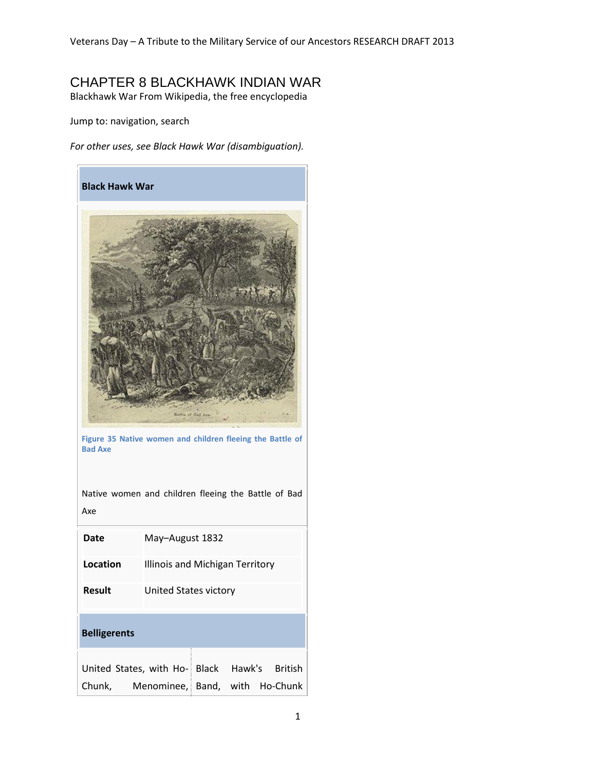## CHAPTER 8 BLACKHAWK INDIAN WAR

Blackhawk War From Wikipedia, the free encyclopedia

Jump to: navigation, search

*For other uses, see Black Hawk War (disambiguation).*



**Figure 35 Native women and children fleeing the Battle of Bad Axe**

| Native women and children fleeing the Battle of Bad<br>Axe |                                 |  |  |  |
|------------------------------------------------------------|---------------------------------|--|--|--|
| Date                                                       | May-August 1832                 |  |  |  |
| Location                                                   | Illinois and Michigan Territory |  |  |  |
| Result                                                     | United States victory           |  |  |  |
| <b>Belligerents</b>                                        |                                 |  |  |  |
| United States, with Ho- Black Hawk's British               |                                 |  |  |  |
| Chunk, Menominee, Band, with Ho-Chunk                      |                                 |  |  |  |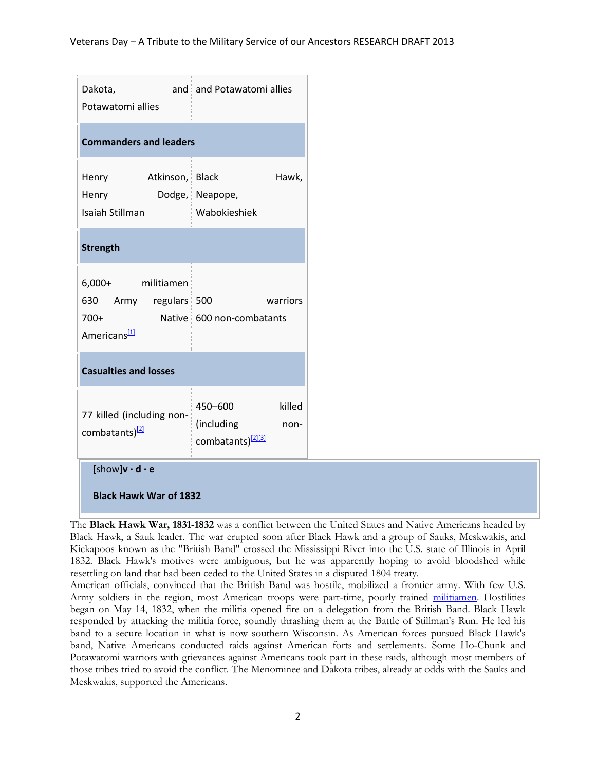| Dakota,<br>Potawatomi allies                                                     | and and Potawatomi allies                                                |  |  |  |  |
|----------------------------------------------------------------------------------|--------------------------------------------------------------------------|--|--|--|--|
| <b>Commanders and leaders</b>                                                    |                                                                          |  |  |  |  |
| Henry Atkinson, Black<br>Henry<br>Isaiah Stillman                                | Hawk,<br>Dodge, Neapope,<br>Wabokieshiek                                 |  |  |  |  |
| <b>Strength</b>                                                                  |                                                                          |  |  |  |  |
| 6,000+ militiamen<br>630 Army regulars 500<br>$700+$<br>Americans <sup>[1]</sup> | warriors<br>Native 600 non-combatants                                    |  |  |  |  |
| <b>Casualties and losses</b>                                                     |                                                                          |  |  |  |  |
| 77 killed (including non-<br>combatants) <sup>[2]</sup>                          | killed<br>450-600<br>(including<br>non-<br>combatants) <sup>[2][3]</sup> |  |  |  |  |
| [show] $\mathsf{v}\cdot\mathsf{d}\cdot\mathsf{e}$                                |                                                                          |  |  |  |  |
| <b>Black Hawk War of 1832</b>                                                    |                                                                          |  |  |  |  |

The **Black Hawk War, 1831-1832** was a conflict between the United States and Native Americans headed by Black Hawk, a Sauk leader. The war erupted soon after Black Hawk and a group of Sauks, Meskwakis, and Kickapoos known as the "British Band" crossed the Mississippi River into the U.S. state of Illinois in April 1832. Black Hawk's motives were ambiguous, but he was apparently hoping to avoid bloodshed while resettling on land that had been ceded to the United States in a disputed 1804 treaty.

American officials, convinced that the British Band was hostile, mobilized a frontier army. With few U.S. Army soldiers in the region, most American troops were part-time, poorly trained militiamen. Hostilities began on May 14, 1832, when the militia opened fire on a delegation from the British Band. Black Hawk responded by attacking the militia force, soundly thrashing them at the Battle of Stillman's Run. He led his band to a secure location in what is now southern Wisconsin. As American forces pursued Black Hawk's band, Native Americans conducted raids against American forts and settlements. Some Ho-Chunk and Potawatomi warriors with grievances against Americans took part in these raids, although most members of those tribes tried to avoid the conflict. The Menominee and Dakota tribes, already at odds with the Sauks and Meskwakis, supported the Americans.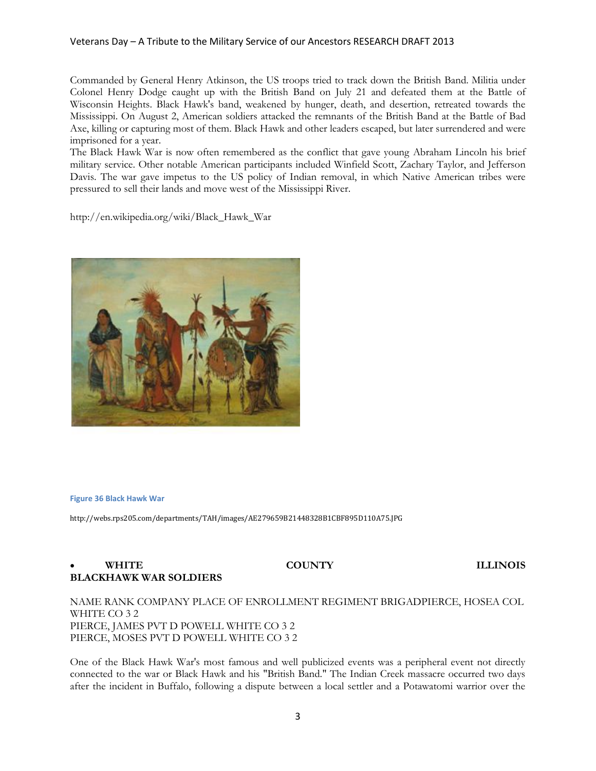### Veterans Day – A Tribute to the Military Service of our Ancestors RESEARCH DRAFT 2013

Commanded by General Henry Atkinson, the US troops tried to track down the British Band. Militia under Colonel Henry Dodge caught up with the British Band on July 21 and defeated them at the Battle of Wisconsin Heights. Black Hawk's band, weakened by hunger, death, and desertion, retreated towards the Mississippi. On August 2, American soldiers attacked the remnants of the British Band at the Battle of Bad Axe, killing or capturing most of them. Black Hawk and other leaders escaped, but later surrendered and were imprisoned for a year.

The Black Hawk War is now often remembered as the conflict that gave young Abraham Lincoln his brief military service. Other notable American participants included Winfield Scott, Zachary Taylor, and Jefferson Davis. The war gave impetus to the US policy of Indian removal, in which Native American tribes were pressured to sell their lands and move west of the Mississippi River.

http://en.wikipedia.org/wiki/Black\_Hawk\_War



### **Figure 36 Black Hawk War**

http://webs.rps205.com/departments/TAH/images/AE279659B21448328B1CBF895D110A75.JPG

## • WHITE COUNTY ILLINOIS **BLACKHAWK WAR SOLDIERS**

## NAME RANK COMPANY PLACE OF ENROLLMENT REGIMENT BRIGADPIERCE, HOSEA COL WHITE CO 3 2 PIERCE, JAMES PVT D POWELL WHITE CO 3 2 PIERCE, MOSES PVT D POWELL WHITE CO 3 2

One of the Black Hawk War's most famous and well publicized events was a peripheral event not directly connected to the war or Black Hawk and his "British Band." The Indian Creek massacre occurred two days after the incident in Buffalo, following a dispute between a local settler and a Potawatomi warrior over the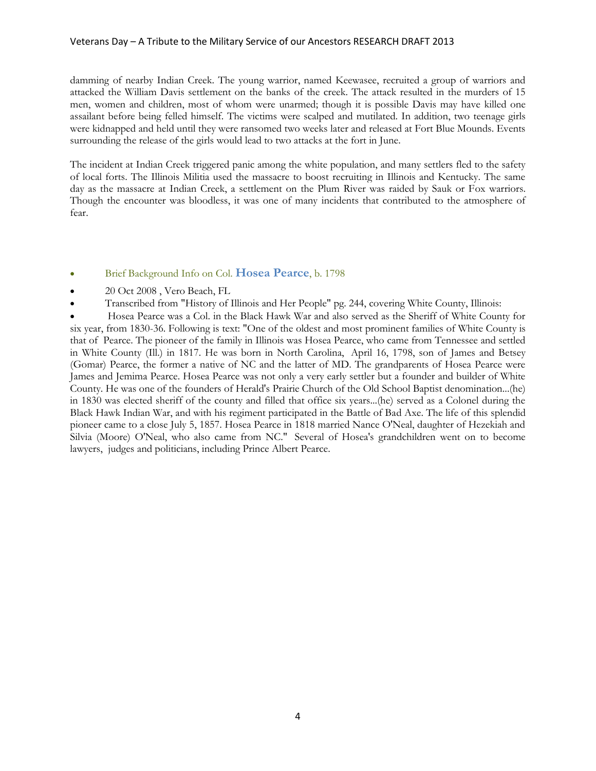### Veterans Day – A Tribute to the Military Service of our Ancestors RESEARCH DRAFT 2013

damming of nearby Indian Creek. The young warrior, named Keewasee, recruited a group of warriors and attacked the William Davis settlement on the banks of the creek. The attack resulted in the murders of 15 men, women and children, most of whom were unarmed; though it is possible Davis may have killed one assailant before being felled himself. The victims were scalped and mutilated. In addition, two teenage girls were kidnapped and held until they were ransomed two weeks later and released at Fort Blue Mounds. Events surrounding the release of the girls would lead to two attacks at the fort in June.

The incident at Indian Creek triggered panic among the white population, and many settlers fled to the safety of local forts. The Illinois Militia used the massacre to boost recruiting in Illinois and Kentucky. The same day as the massacre at Indian Creek, a settlement on the Plum River was raided by Sauk or Fox warriors. Though the encounter was bloodless, it was one of many incidents that contributed to the atmosphere of fear.

## Brief Background Info on Col. **Hosea Pearce**, b. 1798

- 20 Oct 2008 , Vero Beach, FL
- Transcribed from "History of Illinois and Her People" pg. 244, covering White County, Illinois:

 Hosea Pearce was a Col. in the Black Hawk War and also served as the Sheriff of White County for six year, from 1830-36. Following is text: "One of the oldest and most prominent families of White County is that of Pearce. The pioneer of the family in Illinois was Hosea Pearce, who came from Tennessee and settled in White County (Ill.) in 1817. He was born in North Carolina, April 16, 1798, son of James and Betsey (Gomar) Pearce, the former a native of NC and the latter of MD. The grandparents of Hosea Pearce were James and Jemima Pearce. Hosea Pearce was not only a very early settler but a founder and builder of White County. He was one of the founders of Herald's Prairie Church of the Old School Baptist denomination...(he) in 1830 was elected sheriff of the county and filled that office six years...(he) served as a Colonel during the Black Hawk Indian War, and with his regiment participated in the Battle of Bad Axe. The life of this splendid pioneer came to a close July 5, 1857. Hosea Pearce in 1818 married Nance O'Neal, daughter of Hezekiah and Silvia (Moore) O'Neal, who also came from NC." Several of Hosea's grandchildren went on to become lawyers, judges and politicians, including Prince Albert Pearce.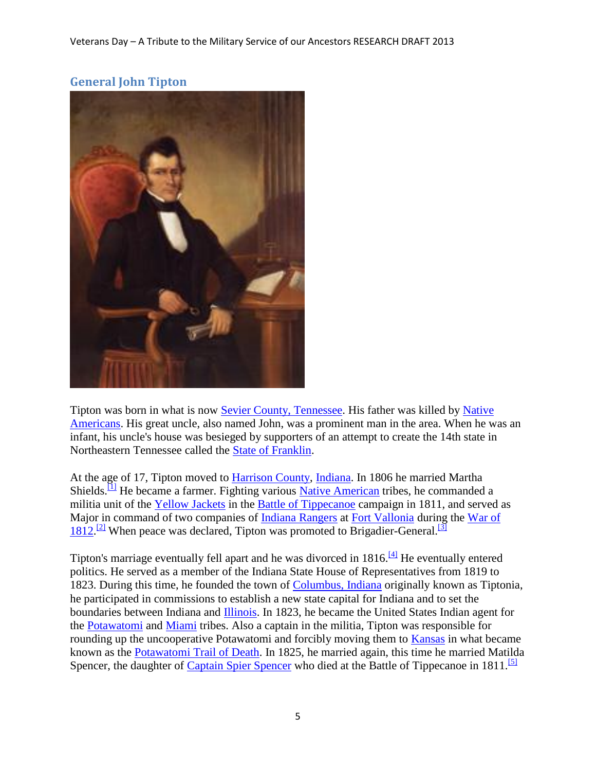## **General John Tipton**

Tipton was born in what is now [Sevier County, Tennessee.](http://en.wikipedia.org/wiki/Sevier_County,_Tennessee) His father was killed by Native [Americans.](http://en.wikipedia.org/wiki/Native_Americans_in_the_United_States) His great uncle, also named John, was a prominent man in the area. When he was an infant, his uncle's house was besieged by supporters of an attempt to create the 14th state in Northeastern Tennessee called the [State of Franklin.](http://en.wikipedia.org/wiki/State_of_Franklin)

At the age of 17, Tipton moved to [Harrison County,](http://en.wikipedia.org/wiki/Harrison_County,_Indiana) [Indiana.](http://en.wikipedia.org/wiki/Indiana) In 1806 he married Martha Shields.<sup>[\[1\]](http://en.wikipedia.org/wiki/John_Tipton#cite_note-0)</sup> He became a farmer. Fighting various [Native American](http://en.wikipedia.org/wiki/Native_Americans_in_the_United_States) tribes, he commanded a militia unit of the [Yellow Jackets](http://en.wikipedia.org/wiki/Yellow_Jackets_(Indiana)) in the [Battle of Tippecanoe](http://en.wikipedia.org/wiki/Battle_of_Tippecanoe) campaign in 1811, and served as Major in command of two companies of [Indiana Rangers](http://en.wikipedia.org/wiki/Indiana_Rangers) at [Fort Vallonia](http://en.wikipedia.org/wiki/Fort_Vallonia) during the War of [1812.](http://en.wikipedia.org/wiki/War_of_1812)<sup>[\[2\]](http://en.wikipedia.org/wiki/John_Tipton#cite_note-1)</sup> When peace was declared, Tipton was promoted to Brigadier-General.<sup>[\[3\]](http://en.wikipedia.org/wiki/John_Tipton#cite_note-2)</sup>

Tipton's marriage eventually fell apart and he was divorced in  $1816$ .<sup>[\[4\]](http://en.wikipedia.org/wiki/John_Tipton#cite_note-3)</sup> He eventually entered politics. He served as a member of the Indiana State House of Representatives from 1819 to 1823. During this time, he founded the town of [Columbus, Indiana](http://en.wikipedia.org/wiki/Columbus,_Indiana) originally known as Tiptonia, he participated in commissions to establish a new state capital for Indiana and to set the boundaries between Indiana and [Illinois.](http://en.wikipedia.org/wiki/Illinois) In 1823, he became the United States Indian agent for the [Potawatomi](http://en.wikipedia.org/wiki/Potawatomi) and [Miami](http://en.wikipedia.org/wiki/Miami_tribe) tribes. Also a captain in the militia, Tipton was responsible for rounding up the uncooperative Potawatomi and forcibly moving them to [Kansas](http://en.wikipedia.org/wiki/Kansas) in what became known as the [Potawatomi Trail of Death.](http://en.wikipedia.org/wiki/Potawatomi_Trail_of_Death) In 1825, he married again, this time he married Matilda Spencer, the daughter of [Captain Spier Spencer](http://en.wikipedia.org/wiki/Spier_Spencer) who died at the Battle of Tippecanoe in 1811.<sup>[\[5\]](http://en.wikipedia.org/wiki/John_Tipton#cite_note-4)</sup>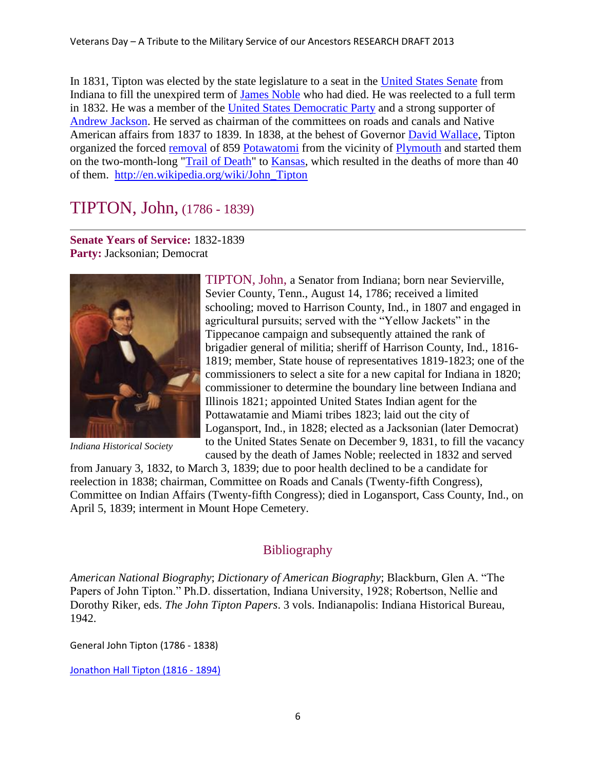In 1831, Tipton was elected by the state legislature to a seat in the [United States Senate](http://en.wikipedia.org/wiki/United_States_Senate) from Indiana to fill the unexpired term of [James Noble](http://en.wikipedia.org/wiki/James_Noble_(senator)) who had died. He was reelected to a full term in 1832. He was a member of the [United States Democratic Party](http://en.wikipedia.org/wiki/United_States_Democratic_Party) and a strong supporter of [Andrew Jackson.](http://en.wikipedia.org/wiki/Andrew_Jackson) He served as chairman of the committees on roads and canals and Native American affairs from 1837 to 1839. In 1838, at the behest of Governor [David Wallace,](http://en.wikipedia.org/wiki/David_Wallace_(governor)) Tipton organized the forced [removal](http://en.wikipedia.org/wiki/Indian_removal) of 859 [Potawatomi](http://en.wikipedia.org/wiki/Potawatomi) from the vicinity of [Plymouth](http://en.wikipedia.org/wiki/Plymouth,_Indiana) and started them on the two-month-long ["Trail of Death"](http://en.wikipedia.org/wiki/Potawatomi_Trail_of_Death) to [Kansas,](http://en.wikipedia.org/wiki/Kansas) which resulted in the deaths of more than 40 of them. [http://en.wikipedia.org/wiki/John\\_Tipton](http://en.wikipedia.org/wiki/John_Tipton)

# TIPTON, John, (1786 - 1839)

**Senate Years of Service:** 1832-1839 **Party:** Jacksonian; Democrat



*Indiana Historical Society*

TIPTON, John, a Senator from Indiana; born near Sevierville, Sevier County, Tenn., August 14, 1786; received a limited schooling; moved to Harrison County, Ind., in 1807 and engaged in agricultural pursuits; served with the "Yellow Jackets" in the Tippecanoe campaign and subsequently attained the rank of brigadier general of militia; sheriff of Harrison County, Ind., 1816- 1819; member, State house of representatives 1819-1823; one of the commissioners to select a site for a new capital for Indiana in 1820; commissioner to determine the boundary line between Indiana and Illinois 1821; appointed United States Indian agent for the Pottawatamie and Miami tribes 1823; laid out the city of Logansport, Ind., in 1828; elected as a Jacksonian (later Democrat) to the United States Senate on December 9, 1831, to fill the vacancy caused by the death of James Noble; reelected in 1832 and served

from January 3, 1832, to March 3, 1839; due to poor health declined to be a candidate for reelection in 1838; chairman, Committee on Roads and Canals (Twenty-fifth Congress), Committee on Indian Affairs (Twenty-fifth Congress); died in Logansport, Cass County, Ind., on April 5, 1839; interment in Mount Hope Cemetery.

## **Bibliography**

*American National Biography*; *Dictionary of American Biography*; Blackburn, Glen A. "The Papers of John Tipton." Ph.D. dissertation, Indiana University, 1928; Robertson, Nellie and Dorothy Riker, eds. *The John Tipton Papers*. 3 vols. Indianapolis: Indiana Historical Bureau, 1942.

General John Tipton (1786 - 1838)

[Jonathon Hall Tipton \(1816 -](http://trees.ancestry.com/tree/4253511/person/-1552045925) 1894)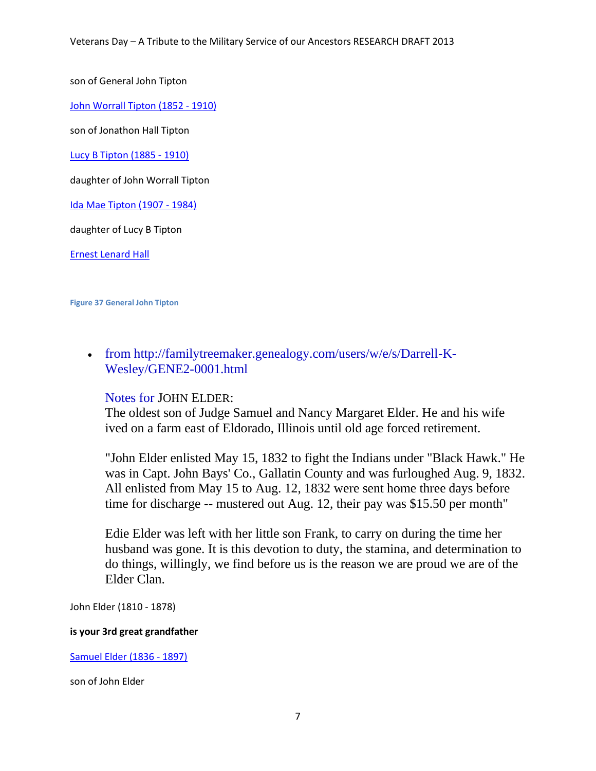son of General John Tipton

[John Worrall Tipton \(1852 -](http://trees.ancestry.com/tree/4253511/person/-1552643038) 1910)

son of Jonathon Hall Tipton

[Lucy B Tipton \(1885](http://trees.ancestry.com/tree/4253511/person/-1631082605) - 1910)

daughter of John Worrall Tipton

[Ida Mae Tipton \(1907 -](http://trees.ancestry.com/tree/4253511/person/-1631096657) 1984)

daughter of Lucy B Tipton

[Ernest Lenard Hall](http://trees.ancestry.com/tree/4253511/person/-1631096659)

**Figure 37 General John Tipton**

 from http://familytreemaker.genealogy.com/users/w/e/s/Darrell-K-Wesley/GENE2-0001.html

## Notes for JOHN ELDER:

The oldest son of Judge Samuel and Nancy Margaret Elder. He and his wife ived on a farm east of Eldorado, Illinois until old age forced retirement.

"John Elder enlisted May 15, 1832 to fight the Indians under "Black Hawk." He was in Capt. John Bays' Co., Gallatin County and was furloughed Aug. 9, 1832. All enlisted from May 15 to Aug. 12, 1832 were sent home three days before time for discharge -- mustered out Aug. 12, their pay was \$15.50 per month"

Edie Elder was left with her little son Frank, to carry on during the time her husband was gone. It is this devotion to duty, the stamina, and determination to do things, willingly, we find before us is the reason we are proud we are of the Elder Clan.

John Elder (1810 - 1878)

## **is your 3rd great grandfather**

[Samuel Elder \(1836 -](http://trees.ancestry.com/tree/4253511/person/6054552771) 1897)

son of John Elder